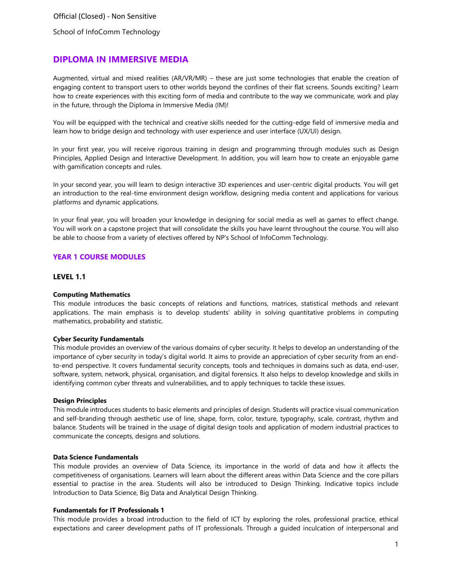School of InfoComm Technology

### **DIPLOMA IN IMMERSIVE MEDIA**

Augmented, virtual and mixed realities (AR/VR/MR) – these are just some technologies that enable the creation of engaging content to transport users to other worlds beyond the confines of their flat screens. Sounds exciting? Learn how to create experiences with this exciting form of media and contribute to the way we communicate, work and play in the future, through the Diploma in Immersive Media (IM)!

You will be equipped with the technical and creative skills needed for the cutting-edge field of immersive media and learn how to bridge design and technology with user experience and user interface (UX/UI) design.

In your first year, you will receive rigorous training in design and programming through modules such as Design Principles, Applied Design and Interactive Development. In addition, you will learn how to create an enjoyable game with gamification concepts and rules.

In your second year, you will learn to design interactive 3D experiences and user-centric digital products. You will get an introduction to the real-time environment design workflow, designing media content and applications for various platforms and dynamic applications.

In your final year, you will broaden your knowledge in designing for social media as well as games to effect change. You will work on a capstone project that will consolidate the skills you have learnt throughout the course. You will also be able to choose from a variety of electives offered by NP's School of InfoComm Technology.

### **YEAR 1 COURSE MODULES**

### **LEVEL 1.1**

#### **Computing Mathematics**

This module introduces the basic concepts of relations and functions, matrices, statistical methods and relevant applications. The main emphasis is to develop students' ability in solving quantitative problems in computing mathematics, probability and statistic.

#### **Cyber Security Fundamentals**

This module provides an overview of the various domains of cyber security. It helps to develop an understanding of the importance of cyber security in today's digital world. It aims to provide an appreciation of cyber security from an endto-end perspective. It covers fundamental security concepts, tools and techniques in domains such as data, end-user, software, system, network, physical, organisation, and digital forensics. It also helps to develop knowledge and skills in identifying common cyber threats and vulnerabilities, and to apply techniques to tackle these issues.

### **Design Principles**

This module introduces students to basic elements and principles of design. Students will practice visual communication and self-branding through aesthetic use of line, shape, form, color, texture, typography, scale, contrast, rhythm and balance. Students will be trained in the usage of digital design tools and application of modern industrial practices to communicate the concepts, designs and solutions.

#### **Data Science Fundamentals**

This module provides an overview of Data Science, its importance in the world of data and how it affects the competitiveness of organisations. Learners will learn about the different areas within Data Science and the core pillars essential to practise in the area. Students will also be introduced to Design Thinking. Indicative topics include Introduction to Data Science, Big Data and Analytical Design Thinking.

#### **Fundamentals for IT Professionals 1**

This module provides a broad introduction to the field of ICT by exploring the roles, professional practice, ethical expectations and career development paths of IT professionals. Through a guided inculcation of interpersonal and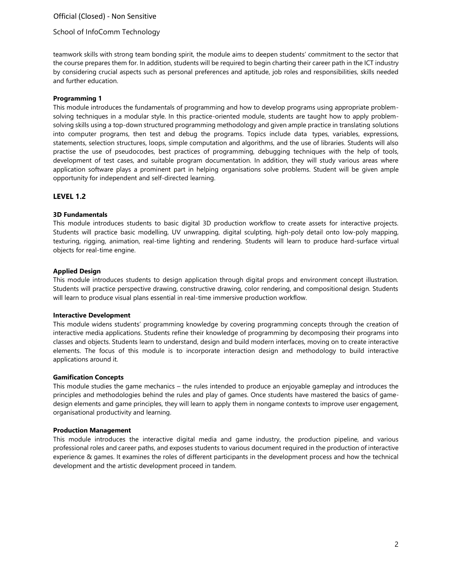## Official (Closed) - Non Sensitive

### School of InfoComm Technology

teamwork skills with strong team bonding spirit, the module aims to deepen students' commitment to the sector that the course prepares them for. In addition, students will be required to begin charting their career path in the ICT industry by considering crucial aspects such as personal preferences and aptitude, job roles and responsibilities, skills needed and further education.

### **Programming 1**

This module introduces the fundamentals of programming and how to develop programs using appropriate problemsolving techniques in a modular style. In this practice-oriented module, students are taught how to apply problemsolving skills using a top-down structured programming methodology and given ample practice in translating solutions into computer programs, then test and debug the programs. Topics include data types, variables, expressions, statements, selection structures, loops, simple computation and algorithms, and the use of libraries. Students will also practise the use of pseudocodes, best practices of programming, debugging techniques with the help of tools, development of test cases, and suitable program documentation. In addition, they will study various areas where application software plays a prominent part in helping organisations solve problems. Student will be given ample opportunity for independent and self-directed learning.

### **LEVEL 1.2**

### **3D Fundamentals**

This module introduces students to basic digital 3D production workflow to create assets for interactive projects. Students will practice basic modelling, UV unwrapping, digital sculpting, high-poly detail onto low-poly mapping, texturing, rigging, animation, real-time lighting and rendering. Students will learn to produce hard-surface virtual objects for real-time engine.

### **Applied Design**

This module introduces students to design application through digital props and environment concept illustration. Students will practice perspective drawing, constructive drawing, color rendering, and compositional design. Students will learn to produce visual plans essential in real-time immersive production workflow.

#### **Interactive Development**

This module widens students' programming knowledge by covering programming concepts through the creation of interactive media applications. Students refine their knowledge of programming by decomposing their programs into classes and objects. Students learn to understand, design and build modern interfaces, moving on to create interactive elements. The focus of this module is to incorporate interaction design and methodology to build interactive applications around it.

### **Gamification Concepts**

This module studies the game mechanics – the rules intended to produce an enjoyable gameplay and introduces the principles and methodologies behind the rules and play of games. Once students have mastered the basics of gamedesign elements and game principles, they will learn to apply them in nongame contexts to improve user engagement, organisational productivity and learning.

#### **Production Management**

This module introduces the interactive digital media and game industry, the production pipeline, and various professional roles and career paths, and exposes students to various document required in the production of interactive experience & games. It examines the roles of different participants in the development process and how the technical development and the artistic development proceed in tandem.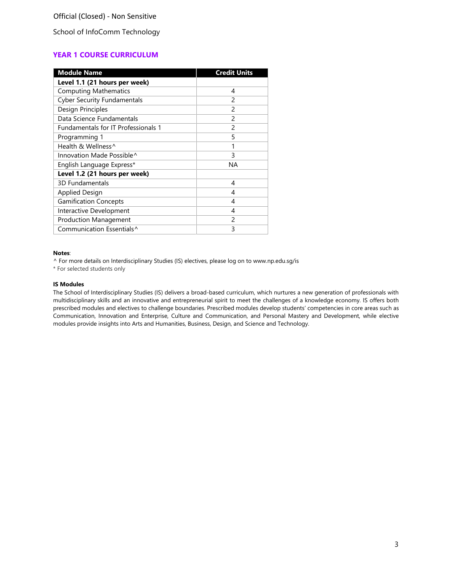School of InfoComm Technology

# **YEAR 1 COURSE CURRICULUM**

| <b>Module Name</b>                  | <b>Credit Units</b> |
|-------------------------------------|---------------------|
| Level 1.1 (21 hours per week)       |                     |
| <b>Computing Mathematics</b>        | 4                   |
| <b>Cyber Security Fundamentals</b>  | 2                   |
| Design Principles                   | $\mathfrak{p}$      |
| Data Science Fundamentals           | $\mathfrak{p}$      |
| Fundamentals for IT Professionals 1 | $\mathcal{P}$       |
| Programming 1                       | 5                   |
| Health & Wellness^                  | 1                   |
| Innovation Made Possible^           | 3                   |
| English Language Express*           | NА                  |
| Level 1.2 (21 hours per week)       |                     |
| 3D Fundamentals                     | 4                   |
| <b>Applied Design</b>               | 4                   |
| <b>Gamification Concepts</b>        | 4                   |
| Interactive Development             | 4                   |
| <b>Production Management</b>        | $\mathfrak{p}$      |
| Communication Essentials^           | 3                   |

#### **Notes**:

^ For more details on Interdisciplinary Studies (IS) electives, please log on to [www.np.edu.sg/is](http://www.np.edu.sg/is)

\* For selected students only

#### **IS Modules**

The School of Interdisciplinary Studies (IS) delivers a broad-based curriculum, which nurtures a new generation of professionals with multidisciplinary skills and an innovative and entrepreneurial spirit to meet the challenges of a knowledge economy. IS offers both prescribed modules and electives to challenge boundaries. Prescribed modules develop students' competencies in core areas such as Communication, Innovation and Enterprise, Culture and Communication, and Personal Mastery and Development, while elective modules provide insights into Arts and Humanities, Business, Design, and Science and Technology.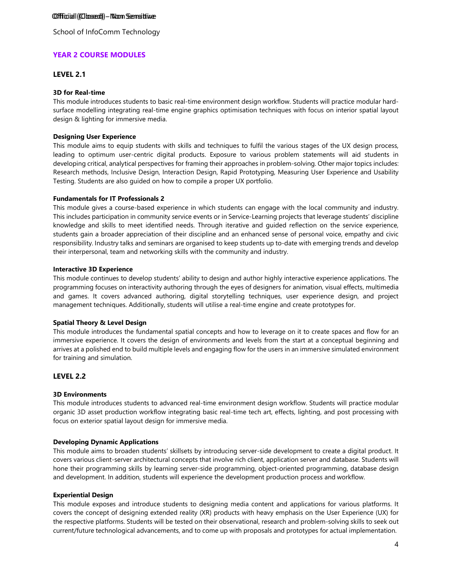### Offficial ((Clossed) - Non Sensitive

School of InfoComm Technology

### **YEAR 2 COURSE MODULES**

### **LEVEL 2.1**

#### **3D for Real-time**

This module introduces students to basic real-time environment design workflow. Students will practice modular hardsurface modelling integrating real-time engine graphics optimisation techniques with focus on interior spatial layout design & lighting for immersive media.

### **Designing User Experience**

This module aims to equip students with skills and techniques to fulfil the various stages of the UX design process, leading to optimum user-centric digital products. Exposure to various problem statements will aid students in developing critical, analytical perspectives for framing their approaches in problem-solving. Other major topics includes: Research methods, Inclusive Design, Interaction Design, Rapid Prototyping, Measuring User Experience and Usability Testing. Students are also guided on how to compile a proper UX portfolio.

#### **Fundamentals for IT Professionals 2**

This module gives a course-based experience in which students can engage with the local community and industry. This includes participation in community service events or in Service-Learning projects that leverage students' discipline knowledge and skills to meet identified needs. Through iterative and guided reflection on the service experience, students gain a broader appreciation of their discipline and an enhanced sense of personal voice, empathy and civic responsibility. Industry talks and seminars are organised to keep students up to-date with emerging trends and develop their interpersonal, team and networking skills with the community and industry.

#### **Interactive 3D Experience**

This module continues to develop students' ability to design and author highly interactive experience applications. The programming focuses on interactivity authoring through the eyes of designers for animation, visual effects, multimedia and games. It covers advanced authoring, digital storytelling techniques, user experience design, and project management techniques. Additionally, students will utilise a real-time engine and create prototypes for.

### **Spatial Theory & Level Design**

This module introduces the fundamental spatial concepts and how to leverage on it to create spaces and flow for an immersive experience. It covers the design of environments and levels from the start at a conceptual beginning and arrives at a polished end to build multiple levels and engaging flow for the users in an immersive simulated environment for training and simulation.

### **LEVEL 2.2**

### **3D Environments**

This module introduces students to advanced real-time environment design workflow. Students will practice modular organic 3D asset production workflow integrating basic real-time tech art, effects, lighting, and post processing with focus on exterior spatial layout design for immersive media.

#### **Developing Dynamic Applications**

This module aims to broaden students' skillsets by introducing server-side development to create a digital product. It covers various client-server architectural concepts that involve rich client, application server and database. Students will hone their programming skills by learning server-side programming, object-oriented programming, database design and development. In addition, students will experience the development production process and workflow.

#### **Experiential Design**

This module exposes and introduce students to designing media content and applications for various platforms. It covers the concept of designing extended reality (XR) products with heavy emphasis on the User Experience (UX) for the respective platforms. Students will be tested on their observational, research and problem-solving skills to seek out current/future technological advancements, and to come up with proposals and prototypes for actual implementation.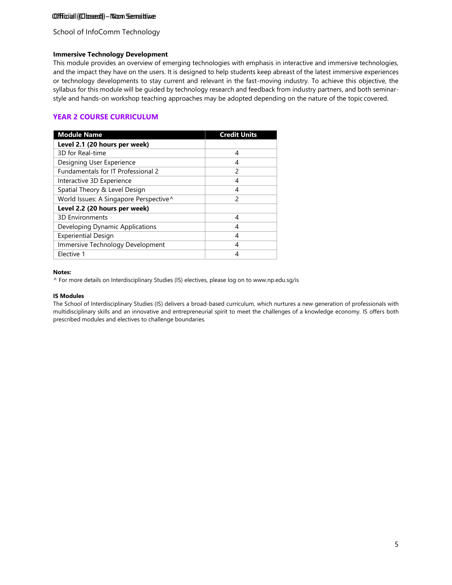### Offficial ((Clossed)) - Non Sensitive

School of InfoComm Technology

### **Immersive Technology Development**

This module provides an overview of emerging technologies with emphasis in interactive and immersive technologies, and the impact they have on the users. It is designed to help students keep abreast of the latest immersive experiences or technology developments to stay current and relevant in the fast-moving industry. To achieve this objective, the syllabus for this module will be guided by technology research and feedback from industry partners, and both seminarstyle and hands-on workshop teaching approaches may be adopted depending on the nature of the topic covered.

## **YEAR 2 COURSE CURRICULUM**

| <b>Module Name</b>                     | <b>Credit Units</b> |
|----------------------------------------|---------------------|
| Level 2.1 (20 hours per week)          |                     |
| 3D for Real-time                       | 4                   |
| Designing User Experience              | 4                   |
| Fundamentals for IT Professional 2     | 2                   |
| Interactive 3D Experience              | 4                   |
| Spatial Theory & Level Design          | 4                   |
| World Issues: A Singapore Perspective^ | 2                   |
| Level 2.2 (20 hours per week)          |                     |
| <b>3D Environments</b>                 | 4                   |
| Developing Dynamic Applications        | 4                   |
| <b>Experiential Design</b>             | 4                   |
| Immersive Technology Development       | 4                   |
| Elective 1                             | 4                   |

### **Notes:**

^ For more details on Interdisciplinary Studies (IS) electives, please log on to [www.np.edu.sg/is](http://www.np.edu.sg/is)

#### **IS Modules**

The School of Interdisciplinary Studies (IS) delivers a broad-based curriculum, which nurtures a new generation of professionals with multidisciplinary skills and an innovative and entrepreneurial spirit to meet the challenges of a knowledge economy. IS offers both prescribed modules and electives to challenge boundaries.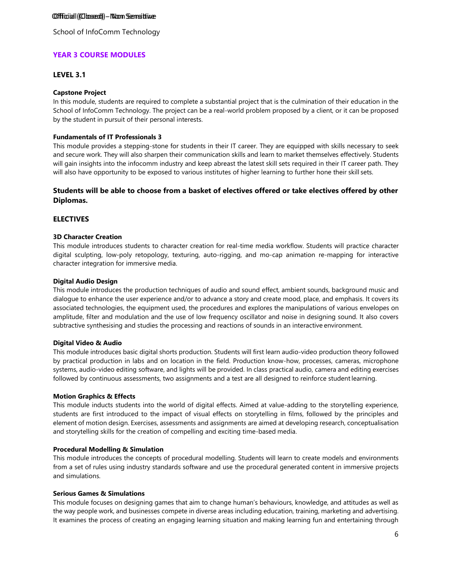### Offficial ((Clossed) - Non Sensitive

School of InfoComm Technology

### **YEAR 3 COURSE MODULES**

### **LEVEL 3.1**

### **Capstone Project**

In this module, students are required to complete a substantial project that is the culmination of their education in the School of InfoComm Technology. The project can be a real-world problem proposed by a client, or it can be proposed by the student in pursuit of their personal interests.

### **Fundamentals of IT Professionals 3**

This module provides a stepping-stone for students in their IT career. They are equipped with skills necessary to seek and secure work. They will also sharpen their communication skills and learn to market themselves effectively. Students will gain insights into the infocomm industry and keep abreast the latest skill sets required in their IT career path. They will also have opportunity to be exposed to various institutes of higher learning to further hone their skill sets.

### **Students will be able to choose from a basket of electives offered or take electives offered by other Diplomas.**

### **ELECTIVES**

### **3D Character Creation**

This module introduces students to character creation for real-time media workflow. Students will practice character digital sculpting, low-poly retopology, texturing, auto-rigging, and mo-cap animation re-mapping for interactive character integration for immersive media.

### **Digital Audio Design**

This module introduces the production techniques of audio and sound effect, ambient sounds, background music and dialogue to enhance the user experience and/or to advance a story and create mood, place, and emphasis. It covers its associated technologies, the equipment used, the procedures and explores the manipulations of various envelopes on amplitude, filter and modulation and the use of low frequency oscillator and noise in designing sound. It also covers subtractive synthesising and studies the processing and reactions of sounds in an interactive environment.

### **Digital Video & Audio**

This module introduces basic digital shorts production. Students will first learn audio-video production theory followed by practical production in labs and on location in the field. Production know-how, processes, cameras, microphone systems, audio-video editing software, and lights will be provided. In class practical audio, camera and editing exercises followed by continuous assessments, two assignments and a test are all designed to reinforce student learning.

### **Motion Graphics & Effects**

This module inducts students into the world of digital effects. Aimed at value-adding to the storytelling experience, students are first introduced to the impact of visual effects on storytelling in films, followed by the principles and element of motion design. Exercises, assessments and assignments are aimed at developing research, conceptualisation and storytelling skills for the creation of compelling and exciting time-based media.

### **Procedural Modelling & Simulation**

This module introduces the concepts of procedural modelling. Students will learn to create models and environments from a set of rules using industry standards software and use the procedural generated content in immersive projects and simulations.

### **Serious Games & Simulations**

This module focuses on designing games that aim to change human's behaviours, knowledge, and attitudes as well as the way people work, and businesses compete in diverse areas including education, training, marketing and advertising. It examines the process of creating an engaging learning situation and making learning fun and entertaining through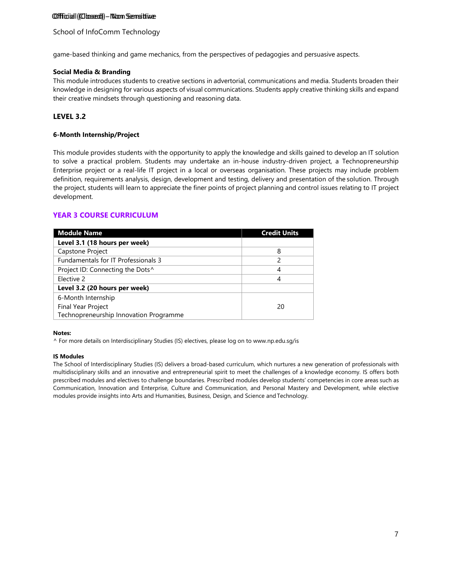### Offficial (Clossed) - Non Sensitive

### School of InfoComm Technology

game-based thinking and game mechanics, from the perspectives of pedagogies and persuasive aspects.

#### **Social Media & Branding**

This module introduces students to creative sections in advertorial, communications and media. Students broaden their knowledge in designing for various aspects of visual communications. Students apply creative thinking skills and expand their creative mindsets through questioning and reasoning data.

### **LEVEL 3.2**

#### **6-Month Internship/Project**

This module provides students with the opportunity to apply the knowledge and skills gained to develop an IT solution to solve a practical problem. Students may undertake an in-house industry-driven project, a Technopreneurship Enterprise project or a real-life IT project in a local or overseas organisation. These projects may include problem definition, requirements analysis, design, development and testing, delivery and presentation of the solution. Through the project, students will learn to appreciate the finer points of project planning and control issues relating to IT project development.

### **YEAR 3 COURSE CURRICULUM**

| <b>Module Name</b>                           | <b>Credit Units</b> |
|----------------------------------------------|---------------------|
| Level 3.1 (18 hours per week)                |                     |
| Capstone Project                             | 8                   |
| <b>Fundamentals for IT Professionals 3</b>   | 2                   |
| Project ID: Connecting the Dots <sup>^</sup> |                     |
| Elective 2                                   | 4                   |
| Level 3.2 (20 hours per week)                |                     |
| 6-Month Internship                           |                     |
| Final Year Project                           | 20                  |
| Technopreneurship Innovation Programme       |                     |

#### **Notes:**

^ For more details on Interdisciplinary Studies (IS) electives, please log on to [www.np.edu.sg/is](http://www.np.edu.sg/is)

#### **IS Modules**

The School of Interdisciplinary Studies (IS) delivers a broad-based curriculum, which nurtures a new generation of professionals with multidisciplinary skills and an innovative and entrepreneurial spirit to meet the challenges of a knowledge economy. IS offers both prescribed modules and electives to challenge boundaries. Prescribed modules develop students' competencies in core areas such as Communication, Innovation and Enterprise, Culture and Communication, and Personal Mastery and Development, while elective modules provide insights into Arts and Humanities, Business, Design, and Science andTechnology.